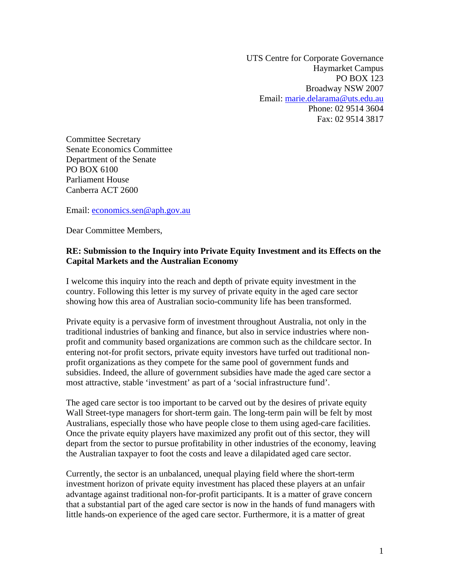UTS Centre for Corporate Governance Haymarket Campus PO BOX 123 Broadway NSW 2007 Email: [marie.delarama@uts.edu.au](mailto:marie.delarama@uts.edu.au) Phone: 02 9514 3604 Fax: 02 9514 3817

Committee Secretary Senate Economics Committee Department of the Senate PO BOX 6100 Parliament House Canberra ACT 2600

Email: [economics.sen@aph.gov.au](mailto:economics.sen@aph.gov.au)

Dear Committee Members,

### **RE: Submission to the Inquiry into Private Equity Investment and its Effects on the Capital Markets and the Australian Economy**

I welcome this inquiry into the reach and depth of private equity investment in the country. Following this letter is my survey of private equity in the aged care sector showing how this area of Australian socio-community life has been transformed.

Private equity is a pervasive form of investment throughout Australia, not only in the traditional industries of banking and finance, but also in service industries where nonprofit and community based organizations are common such as the childcare sector. In entering not-for profit sectors, private equity investors have turfed out traditional nonprofit organizations as they compete for the same pool of government funds and subsidies. Indeed, the allure of government subsidies have made the aged care sector a most attractive, stable 'investment' as part of a 'social infrastructure fund'.

The aged care sector is too important to be carved out by the desires of private equity Wall Street-type managers for short-term gain. The long-term pain will be felt by most Australians, especially those who have people close to them using aged-care facilities. Once the private equity players have maximized any profit out of this sector, they will depart from the sector to pursue profitability in other industries of the economy, leaving the Australian taxpayer to foot the costs and leave a dilapidated aged care sector.

Currently, the sector is an unbalanced, unequal playing field where the short-term investment horizon of private equity investment has placed these players at an unfair advantage against traditional non-for-profit participants. It is a matter of grave concern that a substantial part of the aged care sector is now in the hands of fund managers with little hands-on experience of the aged care sector. Furthermore, it is a matter of great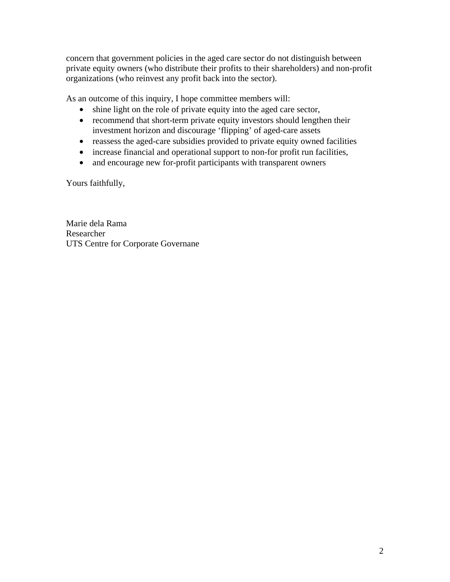concern that government policies in the aged care sector do not distinguish between private equity owners (who distribute their profits to their shareholders) and non-profit organizations (who reinvest any profit back into the sector).

As an outcome of this inquiry, I hope committee members will:

- shine light on the role of private equity into the aged care sector,
- recommend that short-term private equity investors should lengthen their investment horizon and discourage 'flipping' of aged-care assets
- reassess the aged-care subsidies provided to private equity owned facilities
- increase financial and operational support to non-for profit run facilities,
- and encourage new for-profit participants with transparent owners

Yours faithfully,

Marie dela Rama Researcher UTS Centre for Corporate Governane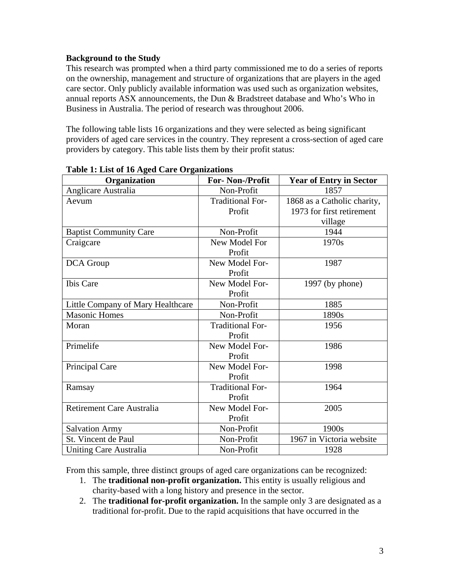# **Background to the Study**

This research was prompted when a third party commissioned me to do a series of reports on the ownership, management and structure of organizations that are players in the aged care sector. Only publicly available information was used such as organization websites, annual reports ASX announcements, the Dun & Bradstreet database and Who's Who in Business in Australia. The period of research was throughout 2006.

The following table lists 16 organizations and they were selected as being significant providers of aged care services in the country. They represent a cross-section of aged care providers by category. This table lists them by their profit status:

| Organization                      | <b>For-Non-/Profit</b>  | <b>Year of Entry in Sector</b> |
|-----------------------------------|-------------------------|--------------------------------|
| Anglicare Australia               | Non-Profit              | 1857                           |
| Aevum                             | <b>Traditional For-</b> | 1868 as a Catholic charity,    |
|                                   | Profit                  | 1973 for first retirement      |
|                                   |                         | village                        |
| <b>Baptist Community Care</b>     | Non-Profit              | 1944                           |
| Craigcare                         | New Model For           | 1970s                          |
|                                   | Profit                  |                                |
| DCA Group                         | New Model For-          | 1987                           |
|                                   | Profit                  |                                |
| Ibis Care                         | New Model For-          | $1997$ (by phone)              |
|                                   | Profit                  |                                |
| Little Company of Mary Healthcare | Non-Profit              | 1885                           |
| <b>Masonic Homes</b>              | Non-Profit              | 1890s                          |
| Moran                             | <b>Traditional For-</b> | 1956                           |
|                                   | Profit                  |                                |
| Primelife                         | New Model For-          | 1986                           |
|                                   | Profit                  |                                |
| Principal Care                    | New Model For-          | 1998                           |
|                                   | Profit                  |                                |
| Ramsay                            | <b>Traditional For-</b> | 1964                           |
|                                   | Profit                  |                                |
| Retirement Care Australia         | New Model For-          | 2005                           |
|                                   | Profit                  |                                |
| <b>Salvation Army</b>             | Non-Profit              | 1900s                          |
| St. Vincent de Paul               | Non-Profit              | 1967 in Victoria website       |
| <b>Uniting Care Australia</b>     | Non-Profit              | 1928                           |

#### **Table 1: List of 16 Aged Care Organizations**

From this sample, three distinct groups of aged care organizations can be recognized:

- 1. The **traditional non-profit organization.** This entity is usually religious and charity-based with a long history and presence in the sector.
- 2. The **traditional for-profit organization.** In the sample only 3 are designated as a traditional for-profit. Due to the rapid acquisitions that have occurred in the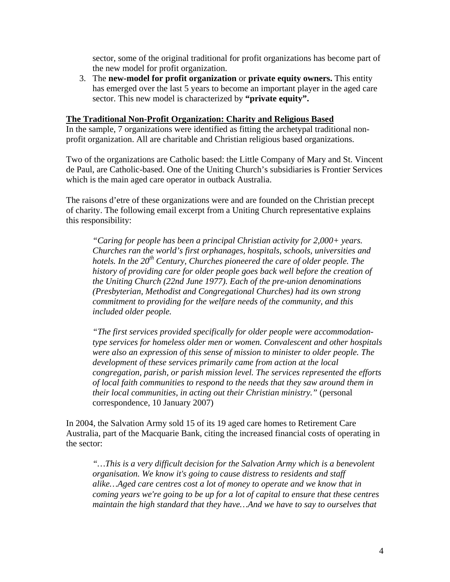sector, some of the original traditional for profit organizations has become part of the new model for profit organization.

3. The **new-model for profit organization** or **private equity owners.** This entity has emerged over the last 5 years to become an important player in the aged care sector. This new model is characterized by **"private equity".**

#### **The Traditional Non-Profit Organization: Charity and Religious Based**

In the sample, 7 organizations were identified as fitting the archetypal traditional nonprofit organization. All are charitable and Christian religious based organizations.

Two of the organizations are Catholic based: the Little Company of Mary and St. Vincent de Paul, are Catholic-based. One of the Uniting Church's subsidiaries is Frontier Services which is the main aged care operator in outback Australia.

The raisons d'etre of these organizations were and are founded on the Christian precept of charity. The following email excerpt from a Uniting Church representative explains this responsibility:

*"Caring for people has been a principal Christian activity for 2,000+ years. Churches ran the world's first orphanages, hospitals, schools, universities and hotels. In the 20th Century, Churches pioneered the care of older people. The history of providing care for older people goes back well before the creation of the Uniting Church (22nd June 1977). Each of the pre-union denominations (Presbyterian, Methodist and Congregational Churches) had its own strong commitment to providing for the welfare needs of the community, and this included older people.* 

*"The first services provided specifically for older people were accommodationtype services for homeless older men or women. Convalescent and other hospitals were also an expression of this sense of mission to minister to older people. The development of these services primarily came from action at the local congregation, parish, or parish mission level. The services represented the efforts of local faith communities to respond to the needs that they saw around them in their local communities, in acting out their Christian ministry."* (personal correspondence, 10 January 2007)

In 2004, the Salvation Army sold 15 of its 19 aged care homes to Retirement Care Australia, part of the Macquarie Bank, citing the increased financial costs of operating in the sector:

*"…This is a very difficult decision for the Salvation Army which is a benevolent organisation. We know it's going to cause distress to residents and staff alike…Aged care centres cost a lot of money to operate and we know that in coming years we're going to be up for a lot of capital to ensure that these centres maintain the high standard that they have…And we have to say to ourselves that*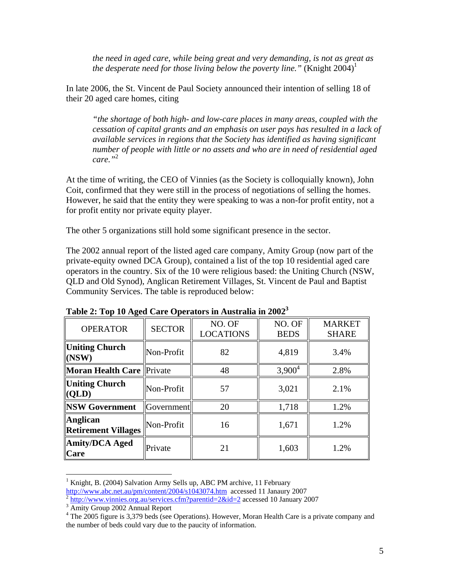*the need in aged care, while being great and very demanding, is not as great as the desperate need for those living below the poverty line.*" (Knight  $2004$ )<sup>[1](#page-4-0)</sup>

In late 2006, the St. Vincent de Paul Society announced their intention of selling 18 of their 20 aged care homes, citing

*"the shortage of both high- and low-care places in many areas, coupled with the cessation of capital grants and an emphasis on user pays has resulted in a lack of available services in regions that the Society has identified as having significant number of people with little or no assets and who are in need of residential aged care."*[2](#page-4-1)

At the time of writing, the CEO of Vinnies (as the Society is colloquially known), John Coit, confirmed that they were still in the process of negotiations of selling the homes. However, he said that the entity they were speaking to was a non-for profit entity, not a for profit entity nor private equity player.

The other 5 organizations still hold some significant presence in the sector.

The 2002 annual report of the listed aged care company, Amity Group (now part of the private-equity owned DCA Group), contained a list of the top 10 residential aged care operators in the country. Six of the 10 were religious based: the Uniting Church (NSW, QLD and Old Synod), Anglican Retirement Villages, St. Vincent de Paul and Baptist Community Services. The table is reproduced below:

| <b>OPERATOR</b>                               | <b>SECTOR</b> | NO. OF<br><b>LOCATIONS</b> | NO. OF<br><b>BEDS</b> | <b>MARKET</b><br><b>SHARE</b> |
|-----------------------------------------------|---------------|----------------------------|-----------------------|-------------------------------|
| <b>Uniting Church</b><br>(NSW)                | Non-Profit    | 82                         | 4,819                 | 3.4%                          |
| <b>Moran Health Care Private</b>              |               | 48                         | $3,900^4$             | 2.8%                          |
| Uniting Church<br>(QLD)                       | Non-Profit    | 57                         | 3,021                 | 2.1%                          |
| <b>NSW Government</b>                         | Government    | 20                         | 1,718                 | 1.2%                          |
| <b>Anglican</b><br><b>Retirement Villages</b> | Non-Profit    | 16                         | 1,671                 | 1.2%                          |
| Amity/DCA Aged<br><b>Care</b>                 | Private       | 21                         | 1,603                 | 1.2%                          |

**Table 2: Top 10 Aged Care Operators in Australia in 2002[3](#page-4-2)**

 $\overline{a}$ 

<span id="page-4-0"></span><sup>&</sup>lt;sup>1</sup> Knight, B. (2004) Salvation Army Sells up, ABC PM archive, 11 February

<http://www.abc.net.au/pm/content/2004/s1043074.htm>accessed 11 Janaury [2](http://www.abc.net.au/pm/content/2004/s1043074.htm)007<br> $\frac{1}{2}$ <http://www.vinnies.org.au/services.cfm?parentid=2&id=2>accessed 10 January 2007

<span id="page-4-2"></span><span id="page-4-1"></span> $\frac{4\pi\epsilon_0}{4}$  Amity Group 2002 Annual Report

<span id="page-4-3"></span><sup>&</sup>lt;sup>4</sup> The 2005 figure is 3,379 beds (see Operations). However, Moran Health Care is a private company and the number of beds could vary due to the paucity of information.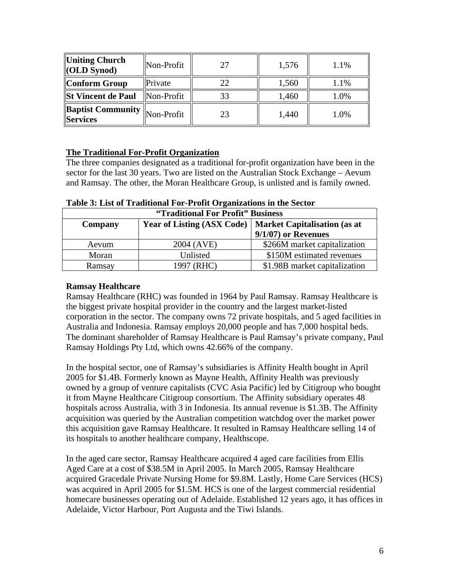| Uniting Church<br>$\vert$ (OLD Synod)           | Non-Profit | 27 | 1,576 | 1.1% |
|-------------------------------------------------|------------|----|-------|------|
| Conform Group                                   | Private    | 22 | 1,560 | 1.1% |
| St Vincent de Paul                              | Non-Profit | 33 | 1,460 | 1.0% |
| <b>Baptist Community Non-Profit</b><br>Services |            | 23 | 1,440 | 1.0% |

#### **The Traditional For-Profit Organization**

The three companies designated as a traditional for-profit organization have been in the sector for the last 30 years. Two are listed on the Australian Stock Exchange – Aevum and Ramsay. The other, the Moran Healthcare Group, is unlisted and is family owned.

| "Traditional For Profit" Business                                                   |            |                               |  |
|-------------------------------------------------------------------------------------|------------|-------------------------------|--|
| <b>Year of Listing (ASX Code)</b><br><b>Market Capitalisation (as at</b><br>Company |            |                               |  |
|                                                                                     |            | $9/1/07$ or Revenues          |  |
| Aevum                                                                               | 2004 (AVE) | \$266M market capitalization  |  |
| Moran                                                                               | Unlisted   | \$150M estimated revenues     |  |
| Ramsay                                                                              | 1997 (RHC) | \$1.98B market capitalization |  |

#### **Table 3: List of Traditional For-Profit Organizations in the Sector**

#### **Ramsay Healthcare**

Ramsay Healthcare (RHC) was founded in 1964 by Paul Ramsay. Ramsay Healthcare is the biggest private hospital provider in the country and the largest market-listed corporation in the sector. The company owns 72 private hospitals, and 5 aged facilities in Australia and Indonesia. Ramsay employs 20,000 people and has 7,000 hospital beds. The dominant shareholder of Ramsay Healthcare is Paul Ramsay's private company, Paul Ramsay Holdings Pty Ltd, which owns 42.66% of the company.

In the hospital sector, one of Ramsay's subsidiaries is Affinity Health bought in April 2005 for \$1.4B. Formerly known as Mayne Health, Affinity Health was previously owned by a group of venture capitalists (CVC Asia Pacific) led by Citigroup who bought it from Mayne Healthcare Citigroup consortium. The Affinity subsidiary operates 48 hospitals across Australia, with 3 in Indonesia. Its annual revenue is \$1.3B. The Affinity acquisition was queried by the Australian competition watchdog over the market power this acquisition gave Ramsay Healthcare. It resulted in Ramsay Healthcare selling 14 of its hospitals to another healthcare company, Healthscope.

In the aged care sector, Ramsay Healthcare acquired 4 aged care facilities from Ellis Aged Care at a cost of \$38.5M in April 2005. In March 2005, Ramsay Healthcare acquired Gracedale Private Nursing Home for \$9.8M. Lastly, Home Care Services (HCS) was acquired in April 2005 for \$1.5M. HCS is one of the largest commercial residential homecare businesses operating out of Adelaide. Established 12 years ago, it has offices in Adelaide, Victor Harbour, Port Augusta and the Tiwi Islands.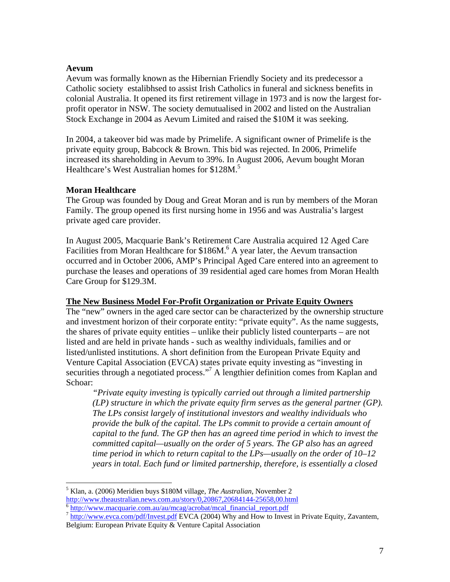#### **Aevum**

Aevum was formally known as the Hibernian Friendly Society and its predecessor a Catholic society estalibhsed to assist Irish Catholics in funeral and sickness benefits in colonial Australia. It opened its first retirement village in 1973 and is now the largest forprofit operator in NSW. The society demutualised in 2002 and listed on the Australian Stock Exchange in 2004 as Aevum Limited and raised the \$10M it was seeking.

In 2004, a takeover bid was made by Primelife. A significant owner of Primelife is the private equity group, Babcock & Brown. This bid was rejected. In 2006, Primelife increased its shareholding in Aevum to 39%. In August 2006, Aevum bought Moran Healthcare's West Australian homes for \$128M.<sup>5</sup>

# **Moran Healthcare**

The Group was founded by Doug and Great Moran and is run by members of the Moran Family. The group opened its first nursing home in 1956 and was Australia's largest private aged care provider.

In August 2005, Macquarie Bank's Retirement Care Australia acquired 12 Aged Care Facilities from Moran Healthcare for \$18[6](#page-6-1)M.<sup>6</sup> A year later, the Aevum transaction occurred and in October 2006, AMP's Principal Aged Care entered into an agreement to purchase the leases and operations of 39 residential aged care homes from Moran Health Care Group for \$129.3M.

# **The New Business Model For-Profit Organization or Private Equity Owners**

The "new" owners in the aged care sector can be characterized by the ownership structure and investment horizon of their corporate entity: "private equity". As the name suggests, the shares of private equity entities – unlike their publicly listed counterparts – are not listed and are held in private hands - such as wealthy individuals, families and or listed/unlisted institutions. A short definition from the European Private Equity and Venture Capital Association (EVCA) states private equity investing as "investing in securities through a negotiated process."<sup>7</sup> A lengthier definition comes from Kaplan and Schoar:

*"Private equity investing is typically carried out through a limited partnership (LP) structure in which the private equity firm serves as the general partner (GP). The LPs consist largely of institutional investors and wealthy individuals who provide the bulk of the capital. The LPs commit to provide a certain amount of capital to the fund. The GP then has an agreed time period in which to invest the committed capital—usually on the order of 5 years. The GP also has an agreed time period in which to return capital to the LPs—usually on the order of 10–12 years in total. Each fund or limited partnership, therefore, is essentially a closed* 

<span id="page-6-0"></span><sup>1</sup> 5 Klan, a. (2006) Meridien buys \$180M village, *The Australian*, November 2

<span id="page-6-2"></span><span id="page-6-1"></span>

<http://www.theaustralian.news.com.au/story/0,20867,20684144-25658,00.html><br> $\frac{6 \text{ http://www.macquarie.com.au/au/mcag/acrobat/mcal\_financial\_report.pdf}}{7 \text{ http://www.evca.com/pdf/Invest.pdf} FVCA (2004) Why and How to Invest in Private Equity, Zavantem,$  $\frac{6 \text{ http://www.macquarie.com.au/au/mcag/acrobat/mcal\_financial\_report.pdf}}{7 \text{ http://www.evca.com/pdf/Invest.pdf} FVCA (2004) Why and How to Invest in Private Equity, Zavantem,$  $\frac{6 \text{ http://www.macquarie.com.au/au/mcag/acrobat/mcal\_financial\_report.pdf}}{7 \text{ http://www.evca.com/pdf/Invest.pdf} FVCA (2004) Why and How to Invest in Private Equity, Zavantem,$ Belgium: European Private Equity & Venture Capital Association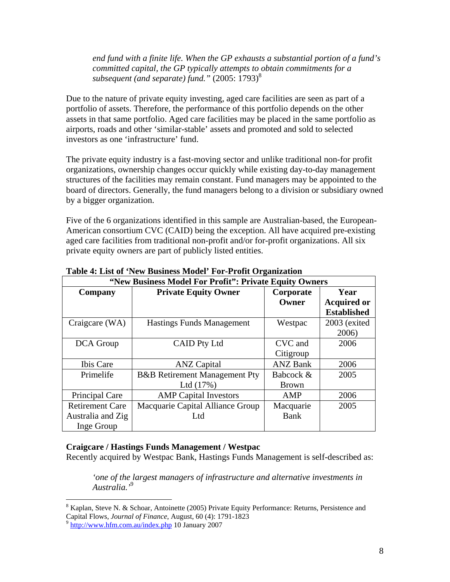*end fund with a finite life. When the GP exhausts a substantial portion of a fund's committed capital, the GP typically attempts to obtain commitments for a subsequent (and separate) fund.*" (2005: 1793)<sup>[8](#page-7-0)</sup>

Due to the nature of private equity investing, aged care facilities are seen as part of a portfolio of assets. Therefore, the performance of this portfolio depends on the other assets in that same portfolio. Aged care facilities may be placed in the same portfolio as airports, roads and other 'similar-stable' assets and promoted and sold to selected investors as one 'infrastructure' fund.

The private equity industry is a fast-moving sector and unlike traditional non-for profit organizations, ownership changes occur quickly while existing day-to-day management structures of the facilities may remain constant. Fund managers may be appointed to the board of directors. Generally, the fund managers belong to a division or subsidiary owned by a bigger organization.

Five of the 6 organizations identified in this sample are Australian-based, the European-American consortium CVC (CAID) being the exception. All have acquired pre-existing aged care facilities from traditional non-profit and/or for-profit organizations. All six private equity owners are part of publicly listed entities.

| $\mathbf{v}$ of $\mathbf{r}$ is a control of the control of $\mathbf{r}$ is a control of $\mathbf{r}$<br>"New Business Model For Profit": Private Equity Owners |                                          |                 |                    |
|-----------------------------------------------------------------------------------------------------------------------------------------------------------------|------------------------------------------|-----------------|--------------------|
| Company                                                                                                                                                         | <b>Private Equity Owner</b>              | Corporate       | Year               |
|                                                                                                                                                                 |                                          | Owner           | <b>Acquired or</b> |
|                                                                                                                                                                 |                                          |                 | <b>Established</b> |
| Craigcare (WA)                                                                                                                                                  | <b>Hastings Funds Management</b>         | Westpac         | 2003 (exited       |
|                                                                                                                                                                 |                                          |                 | 2006)              |
| DCA Group                                                                                                                                                       | <b>CAID Pty Ltd</b>                      | CVC and         | 2006               |
|                                                                                                                                                                 |                                          | Citigroup       |                    |
| Ibis Care                                                                                                                                                       | <b>ANZ Capital</b>                       | <b>ANZ Bank</b> | 2006               |
| Primelife                                                                                                                                                       | <b>B&amp;B</b> Retirement Management Pty | Babcock &       | 2005               |
|                                                                                                                                                                 | Ltd $(17%)$                              | <b>Brown</b>    |                    |
| Principal Care                                                                                                                                                  | <b>AMP</b> Capital Investors             | AMP             | 2006               |
| <b>Retirement Care</b>                                                                                                                                          | Macquarie Capital Alliance Group         | Macquarie       | 2005               |
| Australia and Zig                                                                                                                                               | Ltd                                      | <b>Bank</b>     |                    |
| Inge Group                                                                                                                                                      |                                          |                 |                    |

**Table 4: List of 'New Business Model' For-Profit Organization** 

#### **Craigcare / Hastings Funds Management / Westpac**

Recently acquired by Westpac Bank, Hastings Funds Management is self-described as:

*'one of the largest managers of infrastructure and alternative investments in Australia.'* [9](#page-7-1)

<span id="page-7-0"></span> $\overline{a}$  $8$  Kaplan, Steve N. & Schoar, Antoinette (2005) Private Equity Performance: Returns, Persistence and Capital Flows, *Journal of Finance*, August, 60 (4): 1791-1823<br><sup>9</sup> <http://www.hfm.com.au/index.php> 10 January 2007

<span id="page-7-1"></span>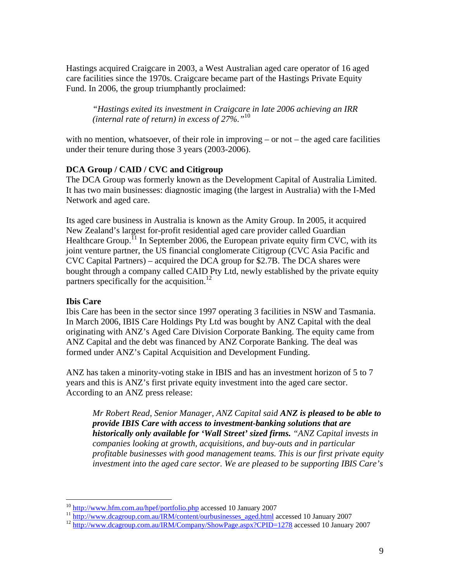Hastings acquired Craigcare in 2003, a West Australian aged care operator of 16 aged care facilities since the 1970s. Craigcare became part of the Hastings Private Equity Fund. In 2006, the group triumphantly proclaimed:

*"Hastings exited its investment in Craigcare in late 2006 achieving an IRR (internal rate of return) in excess of 27%."*[10](#page-8-0)

with no mention, whatsoever, of their role in improving – or not – the aged care facilities under their tenure during those 3 years (2003-2006).

# **DCA Group / CAID / CVC and Citigroup**

The DCA Group was formerly known as the Development Capital of Australia Limited. It has two main businesses: diagnostic imaging (the largest in Australia) with the I-Med Network and aged care.

Its aged care business in Australia is known as the Amity Group. In 2005, it acquired New Zealand's largest for-profit residential aged care provider called Guardian Healthcare Group.<sup> $\overline{1}$ </sup> In September 2006, the European private equity firm CVC, with its joint venture partner, the US financial conglomerate Citigroup (CVC Asia Pacific and CVC Capital Partners) – acquired the DCA group for \$2.7B. The DCA shares were bought through a company called CAID Pty Ltd, newly established by the private equity partners specifically for the acquisition.<sup>[12](#page-8-2)</sup>

# **Ibis Care**

Ibis Care has been in the sector since 1997 operating 3 facilities in NSW and Tasmania. In March 2006, IBIS Care Holdings Pty Ltd was bought by ANZ Capital with the deal originating with ANZ's Aged Care Division Corporate Banking. The equity came from ANZ Capital and the debt was financed by ANZ Corporate Banking. The deal was formed under ANZ's Capital Acquisition and Development Funding.

ANZ has taken a minority-voting stake in IBIS and has an investment horizon of 5 to 7 years and this is ANZ's first private equity investment into the aged care sector. According to an ANZ press release:

*Mr Robert Read, Senior Manager, ANZ Capital said ANZ is pleased to be able to provide IBIS Care with access to investment-banking solutions that are historically only available for 'Wall Street' sized firms. "ANZ Capital invests in companies looking at growth, acquisitions, and buy-outs and in particular profitable businesses with good management teams. This is our first private equity investment into the aged care sector. We are pleased to be supporting IBIS Care's* 

<span id="page-8-0"></span> $10$  http://www.hfm.com.au/hpef/portfolio.php accessed 10 January 2007

<span id="page-8-1"></span><sup>&</sup>lt;sup>11</sup> [http://www.dcagroup.com.au/IRM/content/ourbusinesses\\_aged.html](http://www.dcagroup.com.au/IRM/content/ourbusinesses_aged.html) accessed 10 January 2007<br><sup>12</sup> <http://www.dcagroup.com.au/IRM/Company/ShowPage.aspx?CPID=1278>accessed 10 January 2007

<span id="page-8-2"></span>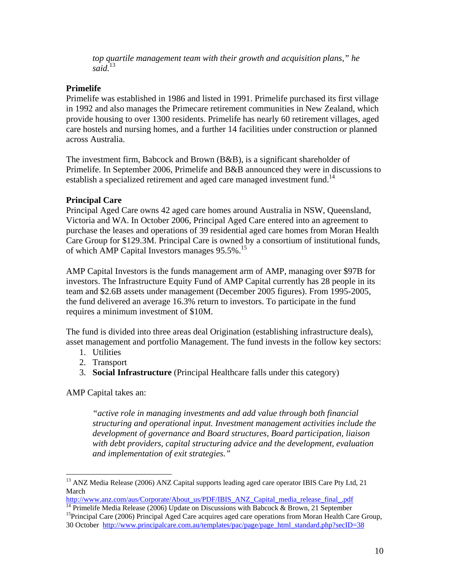*top quartile management team with their growth and acquisition plans," he said.*[13](#page-9-0)

# **Primelife**

Primelife was established in 1986 and listed in 1991. Primelife purchased its first village in 1992 and also manages the Primecare retirement communities in New Zealand, which provide housing to over 1300 residents. Primelife has nearly 60 retirement villages, aged care hostels and nursing homes, and a further 14 facilities under construction or planned across Australia.

The investment firm, Babcock and Brown (B&B), is a significant shareholder of Primelife. In September 2006, Primelife and B&B announced they were in discussions to establish a specialized retirement and aged care managed investment fund.<sup>[14](#page-9-1)</sup>

#### **Principal Care**

Principal Aged Care owns 42 aged care homes around Australia in NSW, Queensland, Victoria and WA. In October 2006, Principal Aged Care entered into an agreement to purchase the leases and operations of 39 residential aged care homes from Moran Health Care Group for \$129.3M. Principal Care is owned by a consortium of institutional funds, of which AMP Capital Investors manages 95.5%[.15](#page-9-2)

AMP Capital Investors is the funds management arm of AMP, managing over \$97B for investors. The Infrastructure Equity Fund of AMP Capital currently has 28 people in its team and \$2.6B assets under management (December 2005 figures). From 1995-2005, the fund delivered an average 16.3% return to investors. To participate in the fund requires a minimum investment of \$10M.

The fund is divided into three areas deal Origination (establishing infrastructure deals), asset management and portfolio Management. The fund invests in the follow key sectors:

- 1. Utilities
- 2. Transport
- 3. **Social Infrastructure** (Principal Healthcare falls under this category)

AMP Capital takes an:

 $\overline{a}$ 

*"active role in managing investments and add value through both financial structuring and operational input. Investment management activities include the development of governance and Board structures, Board participation, liaison with debt providers, capital structuring advice and the development, evaluation and implementation of exit strategies."* 

<span id="page-9-0"></span><sup>&</sup>lt;sup>13</sup> ANZ Media Release (2006) ANZ Capital supports leading aged care operator IBIS Care Pty Ltd, 21 March<br>http://www.anz.com/aus/Corporate/About us/PDF/IBIS ANZ Capital media release final .pdf

<span id="page-9-1"></span><sup>&</sup>lt;sup>14</sup> Primelife Media Release (2006) Update on Discussions with Babcock & Brown, 21 September<br><sup>15</sup> Principal Care (2006) Principal Aged Care acquires aged care operations from Moran Health Care Group,

<span id="page-9-2"></span><sup>30</sup> October [http://www.principalcare.com.au/templates/pac/page/page\\_html\\_standard.php?secID=38](http://www.principalcare.com.au/templates/pac/page/page_html_standard.php?secID=38)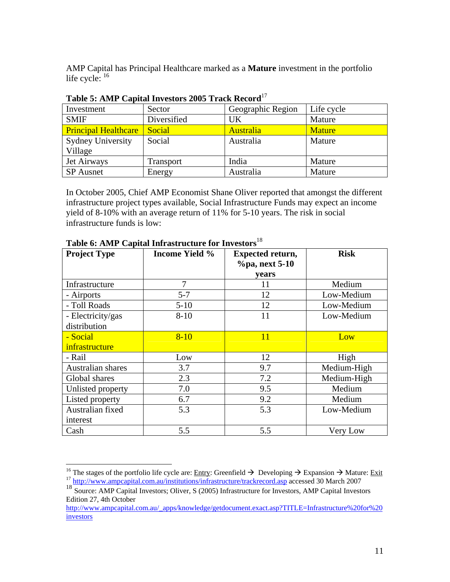AMP Capital has Principal Healthcare marked as a **Mature** investment in the portfolio life cycle:  $16$ 

| Investment                  | Sector      | Geographic Region | Life cycle    |
|-----------------------------|-------------|-------------------|---------------|
| <b>SMIF</b>                 | Diversified | <b>UK</b>         | Mature        |
| <b>Principal Healthcare</b> | Social      | <b>Australia</b>  | <b>Mature</b> |
| <b>Sydney University</b>    | Social      | Australia         | Mature        |
| Village                     |             |                   |               |
| Jet Airways                 | Transport   | India             | Mature        |
| <b>SP</b> Ausnet            | Energy      | Australia         | Mature        |

**Table 5: AMP Capital Investors 2005 Track Record**[17](#page-10-1)

In October 2005, Chief AMP Economist Shane Oliver reported that amongst the different infrastructure project types available, Social Infrastructure Funds may expect an income yield of 8-10% with an average return of 11% for 5-10 years. The risk in social infrastructure funds is low:

| <b>Project Type</b> | <b>Income Yield %</b> | <b>Expected return,</b><br>%pa, next 5-10<br><b>vears</b> | <b>Risk</b> |
|---------------------|-----------------------|-----------------------------------------------------------|-------------|
| Infrastructure      | 7                     | 11                                                        | Medium      |
| - Airports          | $5 - 7$               | 12                                                        | Low-Medium  |
| - Toll Roads        | $5-10$                | 12                                                        | Low-Medium  |
| - Electricity/gas   | $8 - 10$              | 11                                                        | Low-Medium  |
| distribution        |                       |                                                           |             |
| - Social            | $8 - 10$              | <b>11</b>                                                 | Low         |
| infrastructure      |                       |                                                           |             |
| - Rail              | Low                   | 12                                                        | High        |
| Australian shares   | 3.7                   | 9.7                                                       | Medium-High |
| Global shares       | 2.3                   | 7.2                                                       | Medium-High |
| Unlisted property   | 7.0                   | 9.5                                                       | Medium      |
| Listed property     | 6.7                   | 9.2                                                       | Medium      |
| Australian fixed    | 5.3                   | 5.3                                                       | Low-Medium  |
| interest            |                       |                                                           |             |
| Cash                | 5.5                   | 5.5                                                       | Very Low    |

**Table 6: AMP Capital Infrastructure for Investors**[18](#page-10-2) 

<span id="page-10-0"></span><sup>&</sup>lt;sup>16</sup> The stages of the portfolio life cycle are: <u>Entry</u>: Greenfield  $\rightarrow$  Developing  $\rightarrow$  Expansion  $\rightarrow$  Mature: Exit 17 <http://www.ampcapital.com.au/institutions/infrastructure/trackrecord.asp>accessed 30 March 2007

<span id="page-10-2"></span><span id="page-10-1"></span><sup>&</sup>lt;sup>18</sup> Source: AMP Capital Investors; Oliver, S (2005) Infrastructure for Investors, AMP Capital Investors Edition 27, 4th October

[http://www.ampcapital.com.au/\\_apps/knowledge/getdocument.exact.asp?TITLE=Infrastructure%20for%20](http://www.ampcapital.com.au/_apps/knowledge/getdocument.exact.asp?TITLE=Infrastructure%20for%20investors) [investors](http://www.ampcapital.com.au/_apps/knowledge/getdocument.exact.asp?TITLE=Infrastructure%20for%20investors)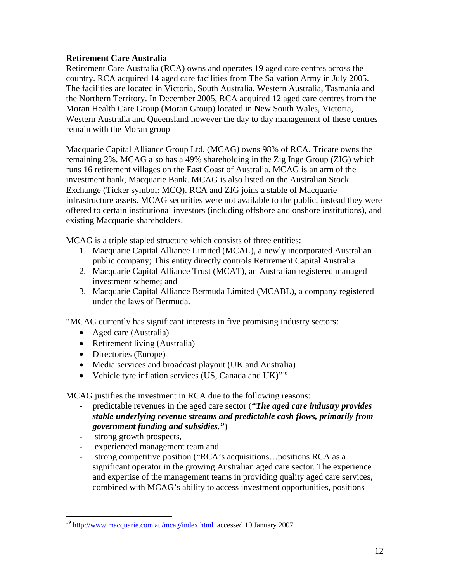### **Retirement Care Australia**

Retirement Care Australia (RCA) owns and operates 19 aged care centres across the country. RCA acquired 14 aged care facilities from The Salvation Army in July 2005. The facilities are located in Victoria, South Australia, Western Australia, Tasmania and the Northern Territory. In December 2005, RCA acquired 12 aged care centres from the Moran Health Care Group (Moran Group) located in New South Wales, Victoria, Western Australia and Queensland however the day to day management of these centres remain with the Moran group

Macquarie Capital Alliance Group Ltd. (MCAG) owns 98% of RCA. Tricare owns the remaining 2%. MCAG also has a 49% shareholding in the Zig Inge Group (ZIG) which runs 16 retirement villages on the East Coast of Australia. MCAG is an arm of the investment bank, Macquarie Bank. MCAG is also listed on the Australian Stock Exchange (Ticker symbol: MCQ). RCA and ZIG joins a stable of Macquarie infrastructure assets. MCAG securities were not available to the public, instead they were offered to certain institutional investors (including offshore and onshore institutions), and existing Macquarie shareholders.

MCAG is a triple stapled structure which consists of three entities:

- 1. Macquarie Capital Alliance Limited (MCAL), a newly incorporated Australian public company; This entity directly controls Retirement Capital Australia
- 2. Macquarie Capital Alliance Trust (MCAT), an Australian registered managed investment scheme; and
- 3. Macquarie Capital Alliance Bermuda Limited (MCABL), a company registered under the laws of Bermuda.

"MCAG currently has significant interests in five promising industry sectors:

- Aged care (Australia)
- Retirement living (Australia)
- Directories (Europe)
- Media services and broadcast playout (UK and Australia)
- Vehicle tyre inflation services (US, Canada and UK)"<sup>[19](#page-11-0)</sup>

MCAG justifies the investment in RCA due to the following reasons:

- predictable revenues in the aged care sector (*"The aged care industry provides stable underlying revenue streams and predictable cash flows, primarily from government funding and subsidies."*)
- strong growth prospects,

 $\overline{a}$ 

- experienced management team and
- strong competitive position ("RCA's acquisitions...positions RCA as a significant operator in the growing Australian aged care sector. The experience and expertise of the management teams in providing quality aged care services, combined with MCAG's ability to access investment opportunities, positions

<span id="page-11-0"></span><sup>19</sup> <http://www.macquarie.com.au/mcag/index.html>accessed 10 January 2007